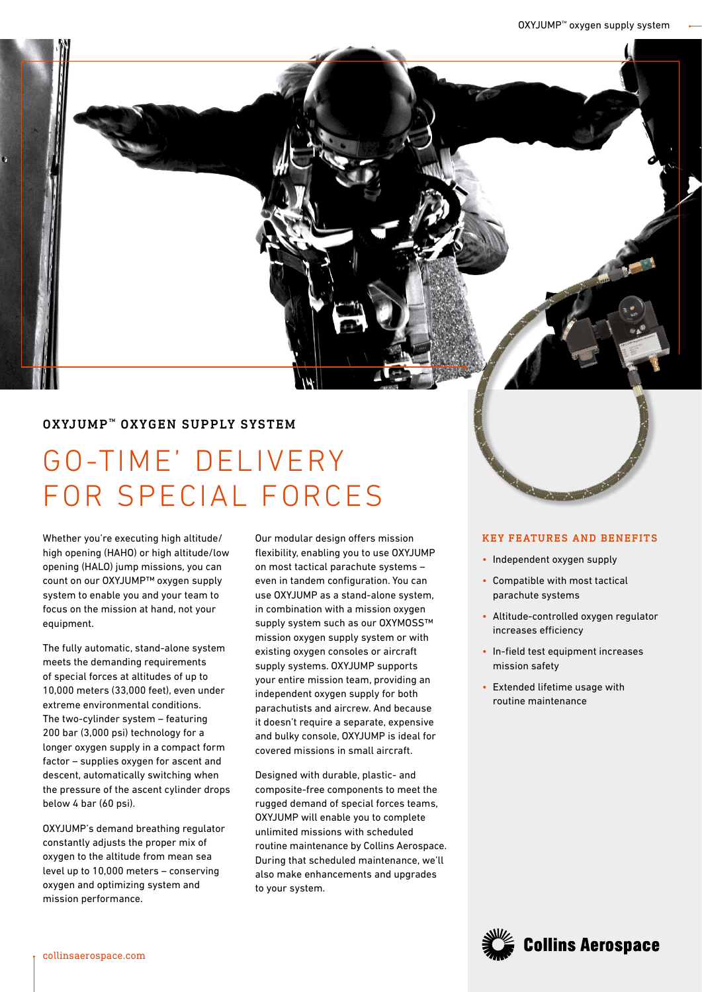# OXYJUMP<sup>™</sup> OXYGEN SUPPLY SYSTEM

# GO-TIME' DELIVERY FOR SPECIAL FORCES

Whether you're executing high altitude/ high opening (HAHO) or high altitude/low opening (HALO) jump missions, you can count on our OXYJUMP™ oxygen supply system to enable you and your team to focus on the mission at hand, not your equipment.

The fully automatic, stand-alone system meets the demanding requirements of special forces at altitudes of up to 10,000 meters (33,000 feet), even under extreme environmental conditions. The two-cylinder system – featuring 200 bar (3,000 psi) technology for a longer oxygen supply in a compact form factor – supplies oxygen for ascent and descent, automatically switching when the pressure of the ascent cylinder drops below 4 bar (60 psi).

OXYJUMP's demand breathing regulator constantly adjusts the proper mix of oxygen to the altitude from mean sea level up to 10,000 meters – conserving oxygen and optimizing system and mission performance.

Our modular design offers mission flexibility, enabling you to use OXYJUMP on most tactical parachute systems – even in tandem configuration. You can use OXYJUMP as a stand-alone system, in combination with a mission oxygen supply system such as our OXYMOSS™ mission oxygen supply system or with existing oxygen consoles or aircraft supply systems. OXYJUMP supports your entire mission team, providing an independent oxygen supply for both parachutists and aircrew. And because it doesn't require a separate, expensive and bulky console, OXYJUMP is ideal for covered missions in small aircraft.

Designed with durable, plastic- and composite-free components to meet the rugged demand of special forces teams, OXYJUMP will enable you to complete unlimited missions with scheduled routine maintenance by Collins Aerospace. During that scheduled maintenance, we'll also make enhancements and upgrades to your system.

#### KEY FEATURES AND BENEFITS

- Independent oxygen supply
- Compatible with most tactical parachute systems
- Altitude-controlled oxygen regulator increases efficiency
- In-field test equipment increases mission safety
- Extended lifetime usage with routine maintenance